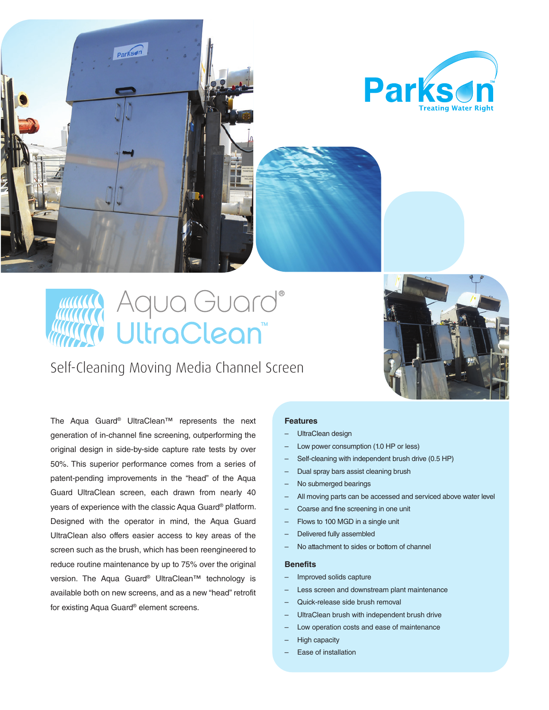



# Aqua Guard® UltraClean

Self-Cleaning Moving Media Channel Screen



The Aqua Guard® UltraClean™ represents the next generation of in-channel fine screening, outperforming the original design in side-by-side capture rate tests by over 50%. This superior performance comes from a series of patent-pending improvements in the "head" of the Aqua Guard UltraClean screen, each drawn from nearly 40 years of experience with the classic Aqua Guard® platform. Designed with the operator in mind, the Aqua Guard UltraClean also offers easier access to key areas of the screen such as the brush, which has been reengineered to reduce routine maintenance by up to 75% over the original version. The Aqua Guard® UltraClean<sup>™</sup> technology is available both on new screens, and as a new "head" retrofit for existing Aqua Guard® element screens.

#### **Features**

- UltraClean design
- Low power consumption (1.0 HP or less)
- Self-cleaning with independent brush drive (0.5 HP)
	- Dual spray bars assist cleaning brush
- No submerged bearings
- All moving parts can be accessed and serviced above water level
- Coarse and fine screening in one unit
- Flows to 100 MGD in a single unit
- Delivered fully assembled
- No attachment to sides or bottom of channel

#### **Benefits**

- Improved solids capture
- Less screen and downstream plant maintenance
- Quick-release side brush removal
- UltraClean brush with independent brush drive
- Low operation costs and ease of maintenance
- High capacity
- Ease of installation